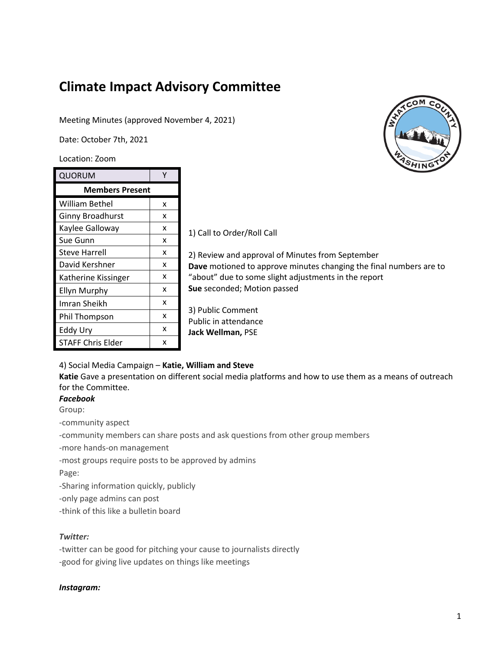# **Climate Impact Advisory Committee**

## Meeting Minutes (approved November 4, 2021)

Date: October 7th, 2021

Location: Zoom

| QUORUM                   |   |
|--------------------------|---|
| <b>Members Present</b>   |   |
| William Bethel           | x |
| <b>Ginny Broadhurst</b>  | x |
| Kaylee Galloway          | x |
| Sue Gunn                 | x |
| Steve Harrell            | x |
| David Kershner           | x |
| Katherine Kissinger      | x |
| <b>Ellyn Murphy</b>      | x |
| Imran Sheikh             | x |
| Phil Thompson            | x |
| Eddy Ury                 | x |
| <b>STAFF Chris Elder</b> | x |

1) Call to Order/Roll Call

2) Review and approval of Minutes from September **Dave** motioned to approve minutes changing the final numbers are to "about" due to some slight adjustments in the report **Sue** seconded; Motion passed

3) Public Comment Public in attendance **Jack Wellman,** PSE

## 4) Social Media Campaign – **Katie, William and Steve**

**Katie** Gave a presentation on different social media platforms and how to use them as a means of outreach for the Committee.

# *Facebook*

Group:

-community aspect

-community members can share posts and ask questions from other group members

-more hands-on management

-most groups require posts to be approved by admins

Page:

-Sharing information quickly, publicly

-only page admins can post

-think of this like a bulletin board

## *Twitter:*

-twitter can be good for pitching your cause to journalists directly -good for giving live updates on things like meetings

#### *Instagram:*

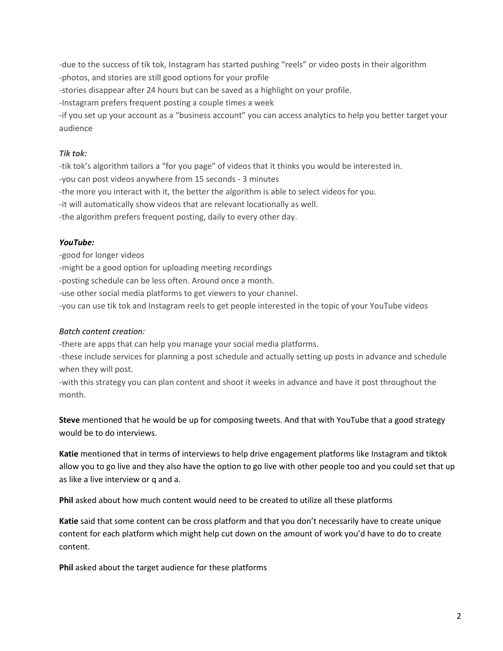-due to the success of tik tok, Instagram has started pushing "reels" or video posts in their algorithm -photos, and stories are still good options for your profile

-stories disappear after 24 hours but can be saved as a highlight on your profile.

-Instagram prefers frequent posting a couple times a week

-if you set up your account as a "business account" you can access analytics to help you better target your audience

# *Tik tok:*

-tik tok's algorithm tailors a "for you page" of videos that it thinks you would be interested in.

-you can post videos anywhere from 15 seconds - 3 minutes

-the more you interact with it, the better the algorithm is able to select videos for you.

-it will automatically show videos that are relevant locationally as well.

-the algorithm prefers frequent posting, daily to every other day.

## *YouTube:*

-good for longer videos

-might be a good option for uploading meeting recordings

-posting schedule can be less often. Around once a month.

-use other social media platforms to get viewers to your channel.

-you can use tik tok and Instagram reels to get people interested in the topic of your YouTube videos

## *Batch content creation:*

-there are apps that can help you manage your social media platforms.

-these include services for planning a post schedule and actually setting up posts in advance and schedule when they will post.

-with this strategy you can plan content and shoot it weeks in advance and have it post throughout the month.

**Steve** mentioned that he would be up for composing tweets. And that with YouTube that a good strategy would be to do interviews.

**Katie** mentioned that in terms of interviews to help drive engagement platforms like Instagram and tiktok allow you to go live and they also have the option to go live with other people too and you could set that up as like a live interview or q and a.

**Phil** asked about how much content would need to be created to utilize all these platforms

**Katie** said that some content can be cross platform and that you don't necessarily have to create unique content for each platform which might help cut down on the amount of work you'd have to do to create content.

**Phil** asked about the target audience for these platforms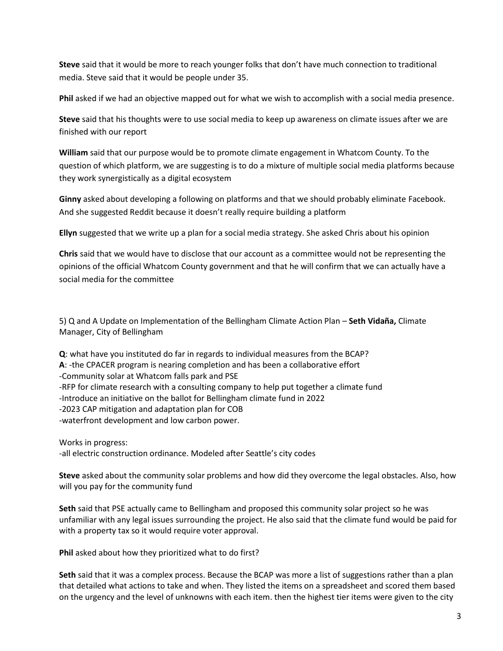**Steve** said that it would be more to reach younger folks that don't have much connection to traditional media. Steve said that it would be people under 35.

**Phil** asked if we had an objective mapped out for what we wish to accomplish with a social media presence.

**Steve** said that his thoughts were to use social media to keep up awareness on climate issues after we are finished with our report

**William** said that our purpose would be to promote climate engagement in Whatcom County. To the question of which platform, we are suggesting is to do a mixture of multiple social media platforms because they work synergistically as a digital ecosystem

**Ginny** asked about developing a following on platforms and that we should probably eliminate Facebook. And she suggested Reddit because it doesn't really require building a platform

**Ellyn** suggested that we write up a plan for a social media strategy. She asked Chris about his opinion

**Chris** said that we would have to disclose that our account as a committee would not be representing the opinions of the official Whatcom County government and that he will confirm that we can actually have a social media for the committee

5) Q and A Update on Implementation of the Bellingham Climate Action Plan – **Seth Vidaña,** Climate Manager, City of Bellingham

**Q**: what have you instituted do far in regards to individual measures from the BCAP? **A**: -the CPACER program is nearing completion and has been a collaborative effort -Community solar at Whatcom falls park and PSE -RFP for climate research with a consulting company to help put together a climate fund -Introduce an initiative on the ballot for Bellingham climate fund in 2022 -2023 CAP mitigation and adaptation plan for COB -waterfront development and low carbon power.

Works in progress: -all electric construction ordinance. Modeled after Seattle's city codes

**Steve** asked about the community solar problems and how did they overcome the legal obstacles. Also, how will you pay for the community fund

**Seth** said that PSE actually came to Bellingham and proposed this community solar project so he was unfamiliar with any legal issues surrounding the project. He also said that the climate fund would be paid for with a property tax so it would require voter approval.

**Phil** asked about how they prioritized what to do first?

**Seth** said that it was a complex process. Because the BCAP was more a list of suggestions rather than a plan that detailed what actions to take and when. They listed the items on a spreadsheet and scored them based on the urgency and the level of unknowns with each item. then the highest tier items were given to the city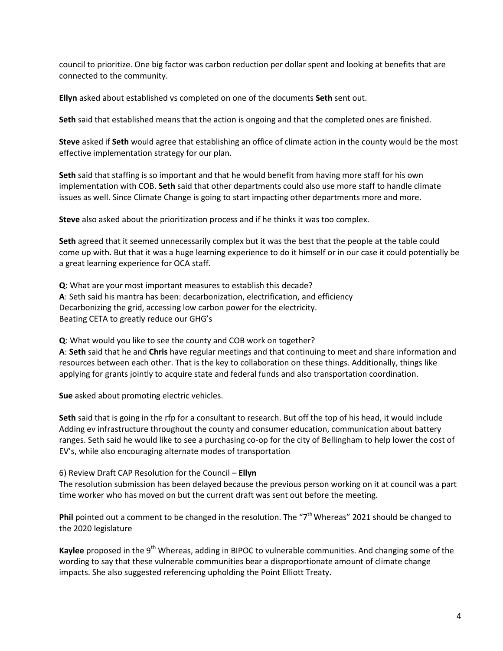council to prioritize. One big factor was carbon reduction per dollar spent and looking at benefits that are connected to the community.

**Ellyn** asked about established vs completed on one of the documents **Seth** sent out.

**Seth** said that established means that the action is ongoing and that the completed ones are finished.

**Steve** asked if **Seth** would agree that establishing an office of climate action in the county would be the most effective implementation strategy for our plan.

**Seth** said that staffing is so important and that he would benefit from having more staff for his own implementation with COB. **Seth** said that other departments could also use more staff to handle climate issues as well. Since Climate Change is going to start impacting other departments more and more.

**Steve** also asked about the prioritization process and if he thinks it was too complex.

**Seth** agreed that it seemed unnecessarily complex but it was the best that the people at the table could come up with. But that it was a huge learning experience to do it himself or in our case it could potentially be a great learning experience for OCA staff.

**Q**: What are your most important measures to establish this decade? **A**: Seth said his mantra has been: decarbonization, electrification, and efficiency Decarbonizing the grid, accessing low carbon power for the electricity. Beating CETA to greatly reduce our GHG's

**Q**: What would you like to see the county and COB work on together? **A**: **Seth** said that he and **Chris** have regular meetings and that continuing to meet and share information and resources between each other. That is the key to collaboration on these things. Additionally, things like applying for grants jointly to acquire state and federal funds and also transportation coordination.

**Sue** asked about promoting electric vehicles.

**Seth** said that is going in the rfp for a consultant to research. But off the top of his head, it would include Adding ev infrastructure throughout the county and consumer education, communication about battery ranges. Seth said he would like to see a purchasing co-op for the city of Bellingham to help lower the cost of EV's, while also encouraging alternate modes of transportation

6) Review Draft CAP Resolution for the Council – **Ellyn**

The resolution submission has been delayed because the previous person working on it at council was a part time worker who has moved on but the current draft was sent out before the meeting.

Phil pointed out a comment to be changed in the resolution. The "7<sup>th</sup> Whereas" 2021 should be changed to the 2020 legislature

Kaylee proposed in the 9<sup>th</sup> Whereas, adding in BIPOC to vulnerable communities. And changing some of the wording to say that these vulnerable communities bear a disproportionate amount of climate change impacts. She also suggested referencing upholding the Point Elliott Treaty.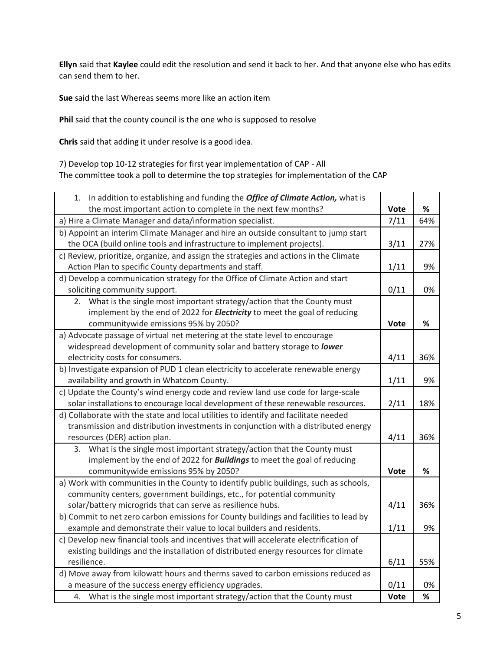**Ellyn** said that **Kaylee** could edit the resolution and send it back to her. And that anyone else who has edits can send them to her.

**Sue** said the last Whereas seems more like an action item

**Phil** said that the county council is the one who is supposed to resolve

**Chris** said that adding it under resolve is a good idea.

7) Develop top 10-12 strategies for first year implementation of CAP - All The committee took a poll to determine the top strategies for implementation of the CAP

| In addition to establishing and funding the Office of Climate Action, what is<br>1.   |             |      |
|---------------------------------------------------------------------------------------|-------------|------|
| the most important action to complete in the next few months?                         | <b>Vote</b> | ℅    |
| a) Hire a Climate Manager and data/information specialist.                            | 7/11        | 64%  |
| b) Appoint an interim Climate Manager and hire an outside consultant to jump start    |             |      |
| the OCA (build online tools and infrastructure to implement projects).                | 3/11        | 27%  |
| c) Review, prioritize, organize, and assign the strategies and actions in the Climate |             |      |
| Action Plan to specific County departments and staff.                                 | 1/11        | 9%   |
| d) Develop a communication strategy for the Office of Climate Action and start        |             |      |
| soliciting community support.                                                         | 0/11        | 0%   |
| 2. What is the single most important strategy/action that the County must             |             |      |
| implement by the end of 2022 for <i>Electricity</i> to meet the goal of reducing      |             |      |
| communitywide emissions 95% by 2050?                                                  | Vote        | %    |
| a) Advocate passage of virtual net metering at the state level to encourage           |             |      |
| widespread development of community solar and battery storage to lower                |             |      |
| electricity costs for consumers.                                                      | 4/11        | 36%  |
| b) Investigate expansion of PUD 1 clean electricity to accelerate renewable energy    |             |      |
| availability and growth in Whatcom County.                                            | 1/11        | 9%   |
| c) Update the County's wind energy code and review land use code for large-scale      |             |      |
| solar installations to encourage local development of these renewable resources.      | 2/11        | 18%  |
| d) Collaborate with the state and local utilities to identify and facilitate needed   |             |      |
| transmission and distribution investments in conjunction with a distributed energy    |             |      |
| resources (DER) action plan.                                                          | 4/11        | 36%  |
| What is the single most important strategy/action that the County must<br>3.          |             |      |
| implement by the end of 2022 for <b>Buildings</b> to meet the goal of reducing        |             |      |
| communitywide emissions 95% by 2050?                                                  | Vote        | $\%$ |
| a) Work with communities in the County to identify public buildings, such as schools, |             |      |
| community centers, government buildings, etc., for potential community                |             |      |
| solar/battery microgrids that can serve as resilience hubs.                           | 4/11        | 36%  |
| b) Commit to net zero carbon emissions for County buildings and facilities to lead by |             |      |
| example and demonstrate their value to local builders and residents.                  | 1/11        | 9%   |
| c) Develop new financial tools and incentives that will accelerate electrification of |             |      |
| existing buildings and the installation of distributed energy resources for climate   |             |      |
| resilience.                                                                           | 6/11        | 55%  |
| d) Move away from kilowatt hours and therms saved to carbon emissions reduced as      |             |      |
| a measure of the success energy efficiency upgrades.                                  | 0/11        | 0%   |
| What is the single most important strategy/action that the County must<br>4.          | <b>Vote</b> | ℅    |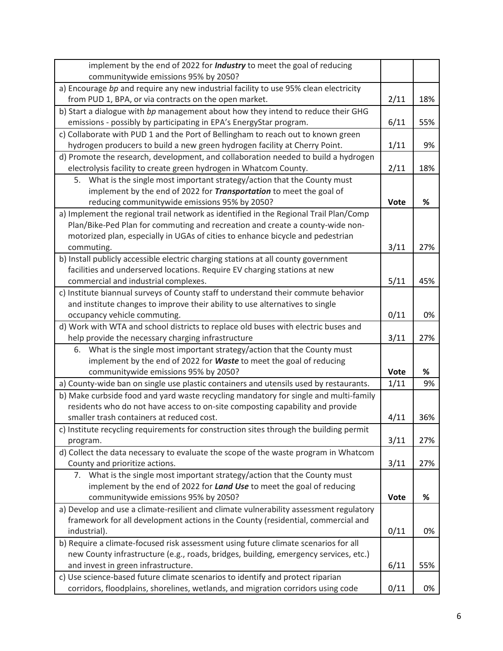| implement by the end of 2022 for <i>Industry</i> to meet the goal of reducing                                                                                         |             |     |
|-----------------------------------------------------------------------------------------------------------------------------------------------------------------------|-------------|-----|
| communitywide emissions 95% by 2050?                                                                                                                                  |             |     |
| a) Encourage bp and require any new industrial facility to use 95% clean electricity                                                                                  |             |     |
| from PUD 1, BPA, or via contracts on the open market.                                                                                                                 | 2/11        | 18% |
| b) Start a dialogue with bp management about how they intend to reduce their GHG                                                                                      |             |     |
| emissions - possibly by participating in EPA's EnergyStar program.                                                                                                    | 6/11        | 55% |
| c) Collaborate with PUD 1 and the Port of Bellingham to reach out to known green                                                                                      |             |     |
| hydrogen producers to build a new green hydrogen facility at Cherry Point.                                                                                            | 1/11        | 9%  |
| d) Promote the research, development, and collaboration needed to build a hydrogen                                                                                    |             |     |
| electrolysis facility to create green hydrogen in Whatcom County.                                                                                                     | 2/11        | 18% |
| What is the single most important strategy/action that the County must<br>5.                                                                                          |             |     |
| implement by the end of 2022 for Transportation to meet the goal of                                                                                                   |             |     |
| reducing communitywide emissions 95% by 2050?                                                                                                                         | Vote        | %   |
| a) Implement the regional trail network as identified in the Regional Trail Plan/Comp                                                                                 |             |     |
| Plan/Bike-Ped Plan for commuting and recreation and create a county-wide non-                                                                                         |             |     |
| motorized plan, especially in UGAs of cities to enhance bicycle and pedestrian                                                                                        |             |     |
| commuting.                                                                                                                                                            | 3/11        | 27% |
| b) Install publicly accessible electric charging stations at all county government                                                                                    |             |     |
| facilities and underserved locations. Require EV charging stations at new                                                                                             |             |     |
| commercial and industrial complexes.                                                                                                                                  | 5/11        | 45% |
| c) Institute biannual surveys of County staff to understand their commute behavior                                                                                    |             |     |
| and institute changes to improve their ability to use alternatives to single                                                                                          |             |     |
| occupancy vehicle commuting.                                                                                                                                          | 0/11        | 0%  |
| d) Work with WTA and school districts to replace old buses with electric buses and                                                                                    |             |     |
| help provide the necessary charging infrastructure                                                                                                                    | 3/11        | 27% |
| What is the single most important strategy/action that the County must<br>6.                                                                                          |             |     |
| implement by the end of 2022 for Waste to meet the goal of reducing                                                                                                   | <b>Vote</b> | %   |
| communitywide emissions 95% by 2050?                                                                                                                                  | 1/11        | 9%  |
| a) County-wide ban on single use plastic containers and utensils used by restaurants.                                                                                 |             |     |
| b) Make curbside food and yard waste recycling mandatory for single and multi-family<br>residents who do not have access to on-site composting capability and provide |             |     |
| smaller trash containers at reduced cost.                                                                                                                             | 4/11        | 36% |
|                                                                                                                                                                       |             |     |
| c) Institute recycling requirements for construction sites through the building permit                                                                                |             | 27% |
| program.<br>d) Collect the data necessary to evaluate the scope of the waste program in Whatcom                                                                       | 3/11        |     |
| County and prioritize actions.                                                                                                                                        | 3/11        | 27% |
| What is the single most important strategy/action that the County must<br>7.                                                                                          |             |     |
| implement by the end of 2022 for Land Use to meet the goal of reducing                                                                                                |             |     |
| communitywide emissions 95% by 2050?                                                                                                                                  | <b>Vote</b> | %   |
| a) Develop and use a climate-resilient and climate vulnerability assessment regulatory                                                                                |             |     |
| framework for all development actions in the County (residential, commercial and                                                                                      |             |     |
| industrial).                                                                                                                                                          | 0/11        | 0%  |
| b) Require a climate-focused risk assessment using future climate scenarios for all                                                                                   |             |     |
| new County infrastructure (e.g., roads, bridges, building, emergency services, etc.)                                                                                  |             |     |
| and invest in green infrastructure.                                                                                                                                   | 6/11        | 55% |
| c) Use science-based future climate scenarios to identify and protect riparian                                                                                        |             |     |
| corridors, floodplains, shorelines, wetlands, and migration corridors using code                                                                                      | 0/11        | 0%  |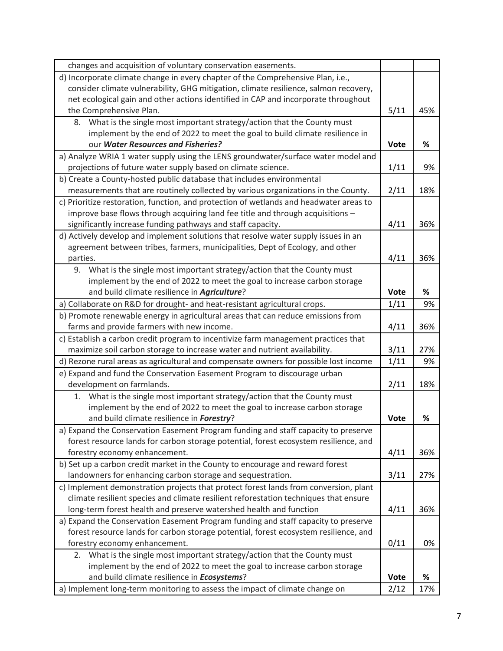| changes and acquisition of voluntary conservation easements.                           |             |     |
|----------------------------------------------------------------------------------------|-------------|-----|
| d) Incorporate climate change in every chapter of the Comprehensive Plan, i.e.,        |             |     |
| consider climate vulnerability, GHG mitigation, climate resilience, salmon recovery,   |             |     |
| net ecological gain and other actions identified in CAP and incorporate throughout     |             |     |
| the Comprehensive Plan.                                                                | 5/11        | 45% |
| What is the single most important strategy/action that the County must<br>8.           |             |     |
| implement by the end of 2022 to meet the goal to build climate resilience in           |             |     |
| our Water Resources and Fisheries?                                                     | <b>Vote</b> | %   |
| a) Analyze WRIA 1 water supply using the LENS groundwater/surface water model and      |             |     |
| projections of future water supply based on climate science.                           | 1/11        | 9%  |
| b) Create a County-hosted public database that includes environmental                  |             |     |
| measurements that are routinely collected by various organizations in the County.      | 2/11        | 18% |
| c) Prioritize restoration, function, and protection of wetlands and headwater areas to |             |     |
| improve base flows through acquiring land fee title and through acquisitions -         |             |     |
| significantly increase funding pathways and staff capacity.                            | 4/11        | 36% |
| d) Actively develop and implement solutions that resolve water supply issues in an     |             |     |
| agreement between tribes, farmers, municipalities, Dept of Ecology, and other          |             |     |
| parties.                                                                               | 4/11        | 36% |
| What is the single most important strategy/action that the County must<br>9.           |             |     |
| implement by the end of 2022 to meet the goal to increase carbon storage               |             |     |
| and build climate resilience in <b>Agriculture</b> ?                                   | <b>Vote</b> | ℅   |
| a) Collaborate on R&D for drought- and heat-resistant agricultural crops.              | 1/11        | 9%  |
| b) Promote renewable energy in agricultural areas that can reduce emissions from       |             |     |
| farms and provide farmers with new income.                                             | 4/11        | 36% |
| c) Establish a carbon credit program to incentivize farm management practices that     |             |     |
| maximize soil carbon storage to increase water and nutrient availability.              | 3/11        | 27% |
| d) Rezone rural areas as agricultural and compensate owners for possible lost income   |             | 9%  |
| e) Expand and fund the Conservation Easement Program to discourage urban               |             |     |
| development on farmlands.                                                              | 2/11        | 18% |
| What is the single most important strategy/action that the County must<br>1.           |             |     |
| implement by the end of 2022 to meet the goal to increase carbon storage               |             |     |
| and build climate resilience in Forestry?                                              | <b>Vote</b> | %   |
| a) Expand the Conservation Easement Program funding and staff capacity to preserve     |             |     |
| forest resource lands for carbon storage potential, forest ecosystem resilience, and   |             |     |
| forestry economy enhancement.                                                          | 4/11        | 36% |
| b) Set up a carbon credit market in the County to encourage and reward forest          |             |     |
| landowners for enhancing carbon storage and sequestration.                             | 3/11        | 27% |
| c) Implement demonstration projects that protect forest lands from conversion, plant   |             |     |
| climate resilient species and climate resilient reforestation techniques that ensure   |             |     |
| long-term forest health and preserve watershed health and function                     | 4/11        | 36% |
| a) Expand the Conservation Easement Program funding and staff capacity to preserve     |             |     |
| forest resource lands for carbon storage potential, forest ecosystem resilience, and   | 0/11        |     |
| forestry economy enhancement.                                                          |             | 0%  |
| 2. What is the single most important strategy/action that the County must              |             |     |
| implement by the end of 2022 to meet the goal to increase carbon storage               |             |     |
| and build climate resilience in <b>Ecosystems</b> ?                                    |             | %   |
| a) Implement long-term monitoring to assess the impact of climate change on            | 2/12        | 17% |